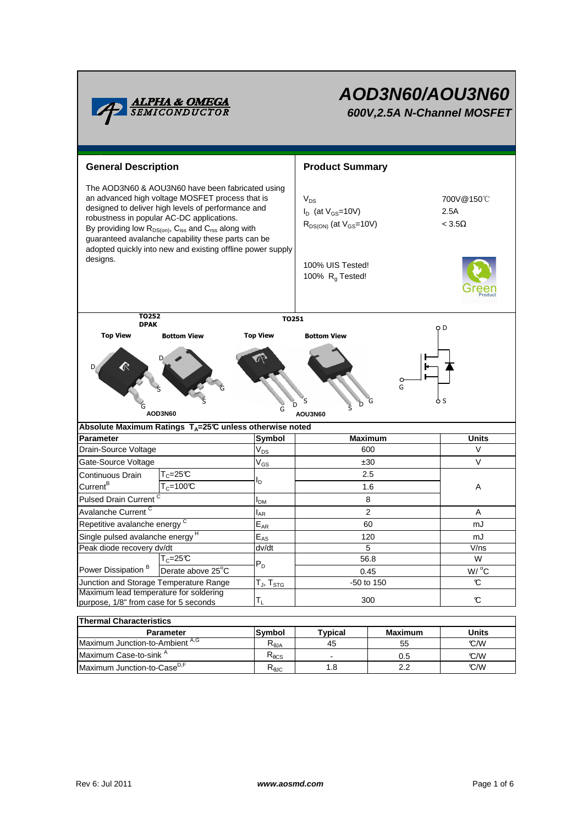

# **AOD3N60/AOU3N60 600V,2.5A N-Channel MOSFET**

| <b>General Description</b>                                                                                                                                                                                                                                                                                                                                                                       |                    |                                       | <b>Product Summary</b>                                                  |     |                                        |  |  |  |  |  |
|--------------------------------------------------------------------------------------------------------------------------------------------------------------------------------------------------------------------------------------------------------------------------------------------------------------------------------------------------------------------------------------------------|--------------------|---------------------------------------|-------------------------------------------------------------------------|-----|----------------------------------------|--|--|--|--|--|
| The AOD3N60 & AOU3N60 have been fabricated using<br>an advanced high voltage MOSFET process that is<br>designed to deliver high levels of performance and<br>robustness in popular AC-DC applications.<br>By providing low $R_{DS(on)}$ , $C_{iss}$ and $C_{rss}$ along with<br>guaranteed avalanche capability these parts can be<br>adopted quickly into new and existing offline power supply |                    |                                       | $V_{DS}$<br>$I_D$ (at $V_{GS}$ =10V)<br>$R_{DS(ON)}$ (at $V_{GS}$ =10V) |     | 700V@150°C<br>2.5A<br>$<$ 3.5 $\Omega$ |  |  |  |  |  |
| designs.                                                                                                                                                                                                                                                                                                                                                                                         |                    |                                       | 100% UIS Tested!<br>100% $R_g$ Tested!                                  |     |                                        |  |  |  |  |  |
| T0252<br>TO251<br><b>DPAK</b>                                                                                                                                                                                                                                                                                                                                                                    |                    |                                       |                                                                         |     |                                        |  |  |  |  |  |
| <b>Top View</b>                                                                                                                                                                                                                                                                                                                                                                                  | <b>Bottom View</b> | <b>Top View</b>                       | <b>Bottom View</b>                                                      |     | o D                                    |  |  |  |  |  |
| G<br>ò S<br>G<br>Ď<br>D<br>AOD3N60<br>AOU3N60                                                                                                                                                                                                                                                                                                                                                    |                    |                                       |                                                                         |     |                                        |  |  |  |  |  |
| Absolute Maximum Ratings $T_A=25^\circ C$ unless otherwise noted                                                                                                                                                                                                                                                                                                                                 |                    | Symbol                                |                                                                         |     |                                        |  |  |  |  |  |
|                                                                                                                                                                                                                                                                                                                                                                                                  | <b>Parameter</b>   |                                       | <b>Maximum</b><br>600                                                   |     | <b>Units</b><br>V                      |  |  |  |  |  |
| Drain-Source Voltage                                                                                                                                                                                                                                                                                                                                                                             |                    | $V_{DS}$                              | ±30                                                                     |     | $\vee$                                 |  |  |  |  |  |
| Gate-Source Voltage<br>$T_c = 25C$<br>Continuous Drain                                                                                                                                                                                                                                                                                                                                           |                    | $\mathsf{V}_{\mathsf{GS}}$            | 2.5                                                                     |     |                                        |  |  |  |  |  |
| Current <sup>B</sup>                                                                                                                                                                                                                                                                                                                                                                             | $T_c = 100C$       | l <sub>D</sub>                        | 1.6                                                                     |     | Α                                      |  |  |  |  |  |
| Pulsed Drain Current <sup>C</sup>                                                                                                                                                                                                                                                                                                                                                                |                    |                                       | 8                                                                       |     |                                        |  |  |  |  |  |
| Avalanche Current <sup>C</sup>                                                                                                                                                                                                                                                                                                                                                                   |                    | I <sub>DM</sub><br>$I_{AR}$           | $\overline{c}$                                                          |     | Α                                      |  |  |  |  |  |
| Repetitive avalanche energy <sup>C</sup>                                                                                                                                                                                                                                                                                                                                                         |                    | $E_{AR}$                              | 60                                                                      |     | mJ                                     |  |  |  |  |  |
| Single pulsed avalanche energy <sup>H</sup>                                                                                                                                                                                                                                                                                                                                                      |                    | $E_{AS}$                              | 120                                                                     |     | mJ                                     |  |  |  |  |  |
| Peak diode recovery dv/dt                                                                                                                                                                                                                                                                                                                                                                        |                    | dv/dt                                 | 5                                                                       |     | V/ns                                   |  |  |  |  |  |
| $T_c = 25C$                                                                                                                                                                                                                                                                                                                                                                                      |                    | $P_D$                                 | 56.8                                                                    |     | W                                      |  |  |  |  |  |
| Power Dissipation <sup>B</sup>                                                                                                                                                                                                                                                                                                                                                                   | Derate above 25°C  |                                       | 0.45                                                                    |     | W/ °C                                  |  |  |  |  |  |
| Junction and Storage Temperature Range                                                                                                                                                                                                                                                                                                                                                           |                    | ${\sf T_{\sf J}},\,{\sf T_{\sf STG}}$ | -50 to 150                                                              |     | $\mathbf c$                            |  |  |  |  |  |
| Maximum lead temperature for soldering<br>purpose, 1/8" from case for 5 seconds                                                                                                                                                                                                                                                                                                                  |                    | $T_L$                                 | 300                                                                     |     | $\mathbbm{C}$                          |  |  |  |  |  |
| <b>Thermal Characteristics</b>                                                                                                                                                                                                                                                                                                                                                                   |                    |                                       |                                                                         |     |                                        |  |  |  |  |  |
| Parameter                                                                                                                                                                                                                                                                                                                                                                                        |                    | Symbol                                | <b>Maximum</b><br><b>Typical</b>                                        |     | <b>Units</b>                           |  |  |  |  |  |
| Maximum Junction-to-Ambient A,G                                                                                                                                                                                                                                                                                                                                                                  |                    | $R_{\theta$ JA                        | 45                                                                      | 55  | C/W                                    |  |  |  |  |  |
| Maximum Case-to-sink A                                                                                                                                                                                                                                                                                                                                                                           |                    | $R_{\theta CS}$                       | $\overline{a}$                                                          | 0.5 | °C/W                                   |  |  |  |  |  |
| Maximum Junction-to-Case <sup>D,F</sup>                                                                                                                                                                                                                                                                                                                                                          |                    | $R_{\theta$ JC                        | 1.8                                                                     | 2.2 | °C/W                                   |  |  |  |  |  |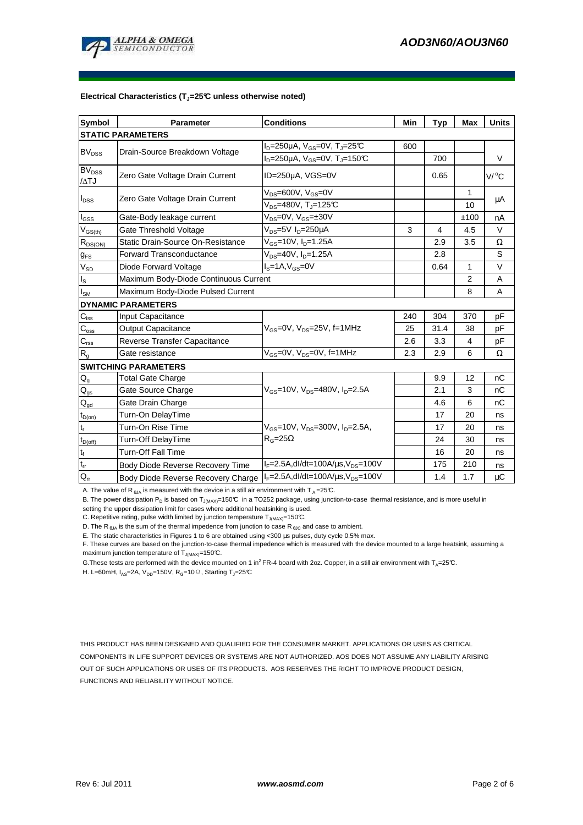

#### **Electrical Characteristics (TJ=25°C unless otherwise noted)**

| <b>Symbol</b>                          | <b>Parameter</b>                      | <b>Conditions</b>                                                      | Min | <b>Typ</b>     | Max          | <b>Units</b> |  |  |  |  |
|----------------------------------------|---------------------------------------|------------------------------------------------------------------------|-----|----------------|--------------|--------------|--|--|--|--|
| <b>STATIC PARAMETERS</b>               |                                       |                                                                        |     |                |              |              |  |  |  |  |
| BV <sub>DSS</sub>                      | Drain-Source Breakdown Voltage        | $I_D = 250 \mu A$ , $V_{GS} = 0V$ , $T_J = 25 \text{C}$                | 600 |                |              |              |  |  |  |  |
|                                        |                                       | $I_D = 250 \mu A$ , $V_{GS} = 0V$ , T <sub>J</sub> =150℃               |     | 700            |              | V            |  |  |  |  |
| <b>BV<sub>DSS</sub></b><br>$\Delta$ TJ | Zero Gate Voltage Drain Current       | ID=250µA, VGS=0V                                                       |     | 0.65           |              | $V/ {}^oC$   |  |  |  |  |
| $I_{DSS}$                              | Zero Gate Voltage Drain Current       | $V_{DS}$ =600V, $V_{GS}$ =0V                                           |     |                | $\mathbf{1}$ | μA           |  |  |  |  |
|                                        |                                       | $V_{DS}$ =480V, T <sub>J</sub> =125°C                                  |     |                | 10           |              |  |  |  |  |
| l <sub>GSS</sub>                       | Gate-Body leakage current             | $V_{DS}$ =0V, $V_{GS}$ =±30V                                           |     |                | ±100         | nA           |  |  |  |  |
| $V_{GS(th)}$                           | Gate Threshold Voltage                | $V_{DS}$ =5V $I_D$ =250µA                                              | 3   | 4              | 4.5          | V            |  |  |  |  |
| $R_{DS(ON)}$                           | Static Drain-Source On-Resistance     | $V_{GS}$ =10V, $I_{D}$ =1.25A                                          |     | 2.9            | 3.5          | Ω            |  |  |  |  |
| $g_{FS}$                               | <b>Forward Transconductance</b>       | $V_{DS} = 40V$ , $I_{D} = 1.25A$                                       |     | 2.8            |              | S            |  |  |  |  |
| $V_{SD}$                               | Diode Forward Voltage                 | $Is=1A, VGS=0V$                                                        |     | 0.64           | 1            | V            |  |  |  |  |
| Is                                     | Maximum Body-Diode Continuous Current |                                                                        |     | $\overline{2}$ | A            |              |  |  |  |  |
| $I_{SM}$                               | Maximum Body-Diode Pulsed Current     |                                                                        |     | 8              | A            |              |  |  |  |  |
|                                        | <b>DYNAMIC PARAMETERS</b>             |                                                                        |     |                |              |              |  |  |  |  |
| $C_{\hbox{\tiny ISS}}$                 | Input Capacitance                     |                                                                        | 240 | 304            | 370          | рF           |  |  |  |  |
| $C_{\rm oss}$                          | <b>Output Capacitance</b>             | $V_{\text{gs}} = 0V$ , $V_{\text{gs}} = 25V$ , f=1MHz                  | 25  | 31.4           | 38           | рF           |  |  |  |  |
| $C_{\text{rss}}$                       | Reverse Transfer Capacitance          |                                                                        | 2.6 | 3.3            | 4            | рF           |  |  |  |  |
| $R_{q}$                                | Gate resistance                       | $V_{GS}$ =0V, $V_{DS}$ =0V, f=1MHz                                     | 2.3 | 2.9            | 6            | Ω            |  |  |  |  |
| <b>SWITCHING PARAMETERS</b>            |                                       |                                                                        |     |                |              |              |  |  |  |  |
| $Q_g$                                  | <b>Total Gate Charge</b>              |                                                                        |     | 9.9            | 12           | nC           |  |  |  |  |
| $\mathsf{Q}_{\mathsf{gs}}$             | Gate Source Charge                    | $V_{\text{gs}} = 10V$ , $V_{\text{ps}} = 480V$ , $I_{\text{p}} = 2.5A$ |     | 2.1            | 3            | nC           |  |  |  |  |
| $Q_{gd}$                               | Gate Drain Charge                     |                                                                        |     | 4.6            | 6            | nC           |  |  |  |  |
| $t_{D(0n)}$                            | Turn-On DelayTime                     |                                                                        |     | 17             | 20           | ns           |  |  |  |  |
| $t_r$                                  | Turn-On Rise Time                     | $V_{GS}$ =10V, $V_{DS}$ =300V, $I_{D}$ =2.5A,                          |     | 17             | 20           | ns           |  |  |  |  |
| $t_{D(off)}$                           | Turn-Off DelayTime                    | $R_G = 25\Omega$                                                       |     | 24             | 30           | ns           |  |  |  |  |
| $\mathbf{t}_\text{f}$                  | <b>Turn-Off Fall Time</b>             |                                                                        |     | 16             | 20           | ns           |  |  |  |  |
| $\mathfrak{t}_{\text{rr}}$             | Body Diode Reverse Recovery Time      | $I_F = 2.5A$ , dl/dt=100A/ $\mu$ s, V <sub>DS</sub> =100V              |     | 175            | 210          | ns           |  |  |  |  |
| $Q_{rr}$                               | Body Diode Reverse Recovery Charge    | $I_F = 2.5A$ , dl/dt=100A/ $\mu$ s, V <sub>DS</sub> =100V              |     | 1.4            | 1.7          | μC           |  |  |  |  |

A. The value of R  $_{\theta$ JA is measured with the device in a still air environment with T A = 25°C.

B. The power dissipation P<sub>D</sub> is based on T<sub>J(MAX)</sub>=150°C in a TO252 package, using junction-to-case thermal resistance, and is more useful in setting the upper dissipation limit for cases where additional heatsinking is used.

C. Repetitive rating, pulse width limited by junction temperature  $T_{J(MAX)}$ =150°C.

D. The R<sub>6JA</sub> is the sum of the thermal impedence from junction to case R<sub> $\theta$ JC</sub> and case to ambient.

E. The static characteristics in Figures 1 to 6 are obtained using <300 µs pulses, duty cycle 0.5% max.

F. These curves are based on the junction-to-case thermal impedence which is measured with the device mounted to a large heatsink, assuming a maximum junction temperature of  $T_{J(MAX)}$ =150°C.

G. These tests are performed with the device mounted on 1 in<sup>2</sup>FR-4 board with 2oz. Copper, in a still air environment with T<sub>A</sub>=25°C.

H. L=60mH,  $I_{AS}$ =2A, V<sub>DD</sub>=150V, R<sub>G</sub>=10 $\Omega$ , Starting T<sub>J</sub>=25°C

THIS PRODUCT HAS BEEN DESIGNED AND QUALIFIED FOR THE CONSUMER MARKET. APPLICATIONS OR USES AS CRITICAL COMPONENTS IN LIFE SUPPORT DEVICES OR SYSTEMS ARE NOT AUTHORIZED. AOS DOES NOT ASSUME ANY LIABILITY ARISING OUT OF SUCH APPLICATIONS OR USES OF ITS PRODUCTS. AOS RESERVES THE RIGHT TO IMPROVE PRODUCT DESIGN, FUNCTIONS AND RELIABILITY WITHOUT NOTICE.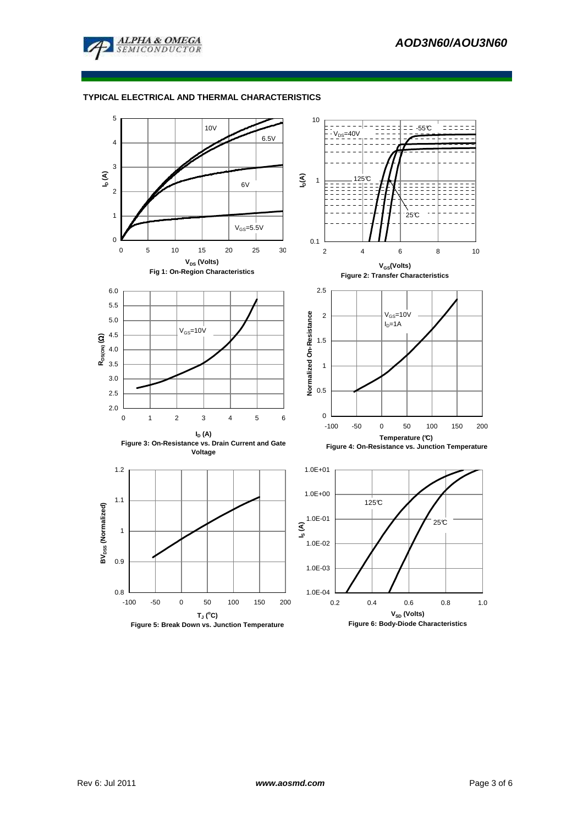

# **TYPICAL ELECTRICAL AND THERMAL CHARACTERISTICS**

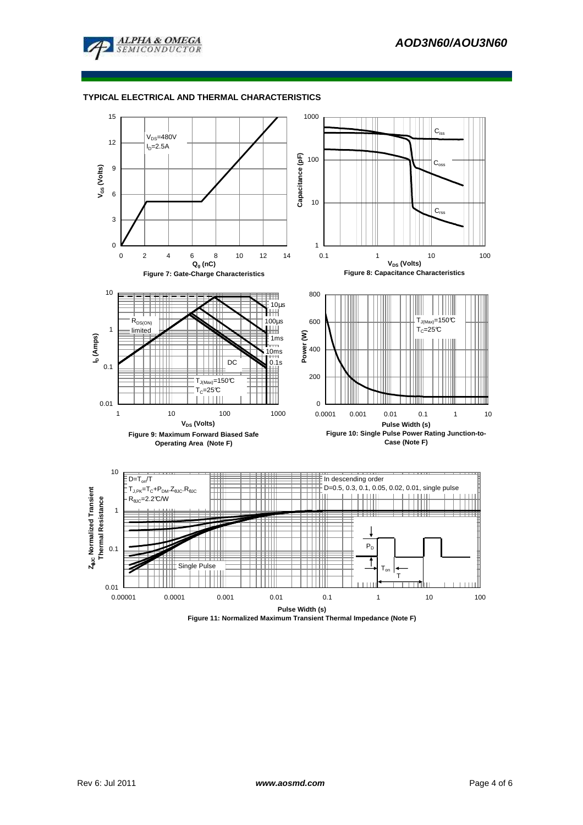

# **TYPICAL ELECTRICAL AND THERMAL CHARACTERISTICS**



**Figure 11: Normalized Maximum Transient Thermal Impedance (Note F)**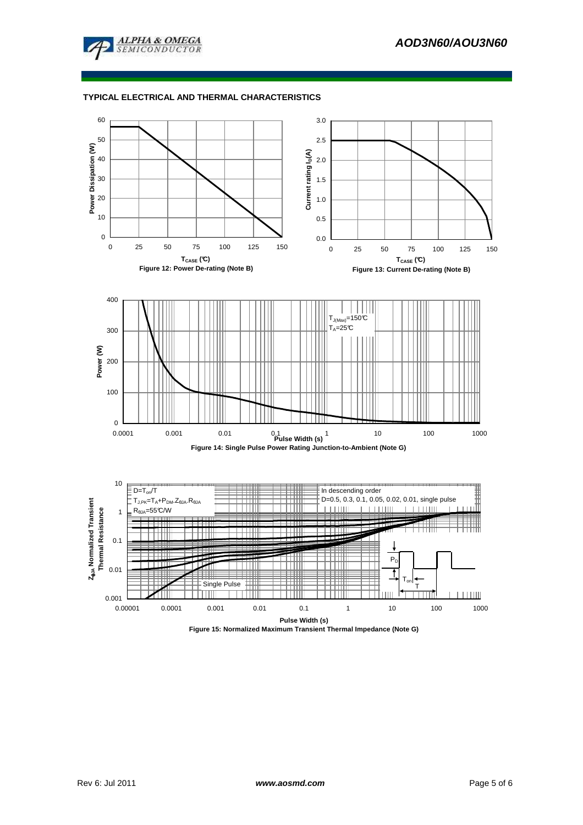

# **TYPICAL ELECTRICAL AND THERMAL CHARACTERISTICS**